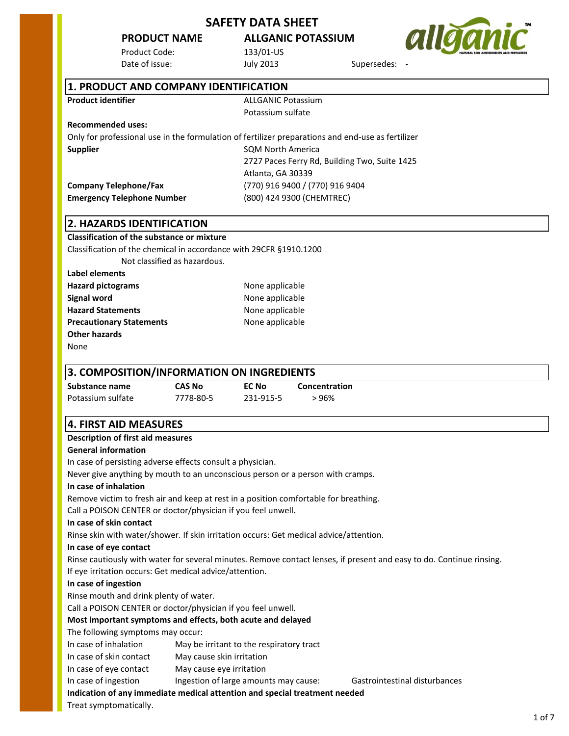Product Code: 133/01-US Date of issue:  $July 2013$  Supersedes:

**PRODUCT NAME ALLGANIC POTASSIUM**



| 1. PRODUCT AND COMPANY IDENTIFICATION |                    |
|---------------------------------------|--------------------|
| <b>Product identifier</b>             | ALLGANIC Potassium |
|                                       | Potassium sulfate  |

#### **Recommended uses:**

Only for professional use in the formulation of fertilizer preparations and end-use as fertilizer **Supplier** Supplier SQM North America 2727 Paces Ferry Rd, Building Two, Suite 1425 Atlanta, GA 30339 **Company Telephone/Fax** (770) 916 9400 / (770) 916 9404 **Emergency Telephone Number** (800) 424 9300 (CHEMTREC)

## **2. HAZARDS IDENTIFICATION**

# **Classification of the substance or mixture**

Classification of the chemical in accordance with 29CFR §1910.1200

Not classified as hazardous.

| <b>Hazard pictograms</b>        | None applicable |
|---------------------------------|-----------------|
| Signal word                     | None applicable |
| <b>Hazard Statements</b>        | None applicable |
| <b>Precautionary Statements</b> | None applicable |
| <b>Other hazards</b>            |                 |
|                                 |                 |

None

**Label elements**

## **3. COMPOSITION/INFORMATION ON INGREDIENTS**

| Substance name    | CAS No    | EC No     | Concentration |
|-------------------|-----------|-----------|---------------|
|                   |           |           |               |
| Potassium sulfate | 7778-80-5 | 231-915-5 | > 96%         |

## **4. FIRST AID MEASURES**

## **Description of first aid measures**

## **General information**

In case of persisting adverse effects consult a physician.

Never give anything by mouth to an unconscious person or a person with cramps.

## **In case of inhalation**

Remove victim to fresh air and keep at rest in a position comfortable for breathing. Call a POISON CENTER or doctor/physician if you feel unwell.

## **In case of skin contact**

Rinse skin with water/shower. If skin irritation occurs: Get medical advice/attention.

## **In case of eye contact**

Rinse cautiously with water for several minutes. Remove contact lenses, if present and easy to do. Continue rinsing. If eye irritation occurs: Get medical advice/attention.

## **In case of ingestion**

Rinse mouth and drink plenty of water.

Call a POISON CENTER or doctor/physician if you feel unwell.

## **Most important symptoms and effects, both acute and delayed**

The following symptoms may occur:

- In case of inhalation May be irritant to the respiratory tract
- In case of skin contact May cause skin irritation
- In case of eye contact May cause eye irritation

In case of ingestion Ingestion of large amounts may cause: Gastrointestinal disturbances

**Indication of any immediate medical attention and special treatment needed**

Treat symptomatically.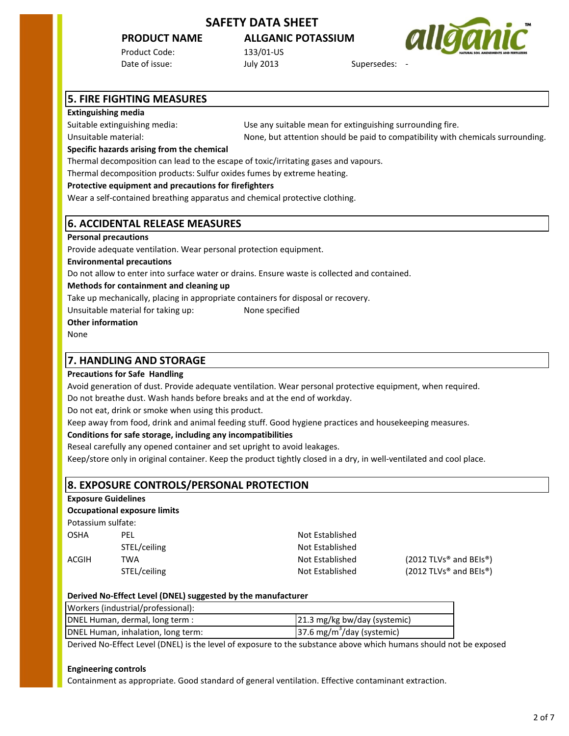## **PRODUCT NAME ALLGANIC POTASSIUM**

Product Code: 133/01-US Date of issue:  $July 2013$  Supersedes:

Unsuitable material: None, but attention should be paid to compatibility with chemicals surrounding.



# **5. FIRE FIGHTING MEASURES**

#### **Extinguishing media**

Suitable extinguishing media:

Use any suitable mean for extinguishing surrounding fire.

**Specific hazards arising from the chemical**

Thermal decomposition can lead to the escape of toxic/irritating gases and vapours.

Thermal decomposition products: Sulfur oxides fumes by extreme heating.

#### **Protective equipment and precautions for firefighters**

Wear a self-contained breathing apparatus and chemical protective clothing.

## **6. ACCIDENTAL RELEASE MEASURES**

#### **Personal precautions**

Provide adequate ventilation. Wear personal protection equipment.

**Environmental precautions**

Do not allow to enter into surface water or drains. Ensure waste is collected and contained.

#### **Methods for containment and cleaning up**

Take up mechanically, placing in appropriate containers for disposal or recovery.

Unsuitable material for taking up: None specified

**Other information**

None

## **7. HANDLING AND STORAGE**

## **Precautions for Safe Handling**

Avoid generation of dust. Provide adequate ventilation. Wear personal protective equipment, when required.

Do not breathe dust. Wash hands before breaks and at the end of workday.

Do not eat, drink or smoke when using this product.

Keep away from food, drink and animal feeding stuff. Good hygiene practices and housekeeping measures.

## **Conditions for safe storage, including any incompatibilities**

Reseal carefully any opened container and set upright to avoid leakages.

Keep/store only in original container. Keep the product tightly closed in a dry, in well-ventilated and cool place.

## **8. EXPOSURE CONTROLS/PERSONAL PROTECTION**

**Exposure Guidelines**

## **Occupational exposure limits**

Potassium sulfate:

| OSHA  | PFL          |  |
|-------|--------------|--|
|       | STEL/ceiling |  |
| ACGIH | TWA          |  |
|       | STEL/ceiling |  |

Not Established Not Established

Not Established (2012 TLVs<sup>®</sup> and BEIs<sup>®</sup>) Not Established (2012 TLVs<sup>®</sup> and BEIs<sup>®</sup>)

| Derived No-Effect Level (DNEL) suggested by the manufacturer |  |
|--------------------------------------------------------------|--|
|--------------------------------------------------------------|--|

| Workers (industrial/professional): |                                        |
|------------------------------------|----------------------------------------|
| DNEL Human, dermal, long term :    | 21.3 mg/kg bw/day (systemic)           |
| DNEL Human, inhalation, long term: | 37.6 mg/m <sup>3</sup> /day (systemic) |

Derived No-Effect Level (DNEL) is the level of exposure to the substance above which humans should not be exposed

#### **Engineering controls**

Containment as appropriate. Good standard of general ventilation. Effective contaminant extraction.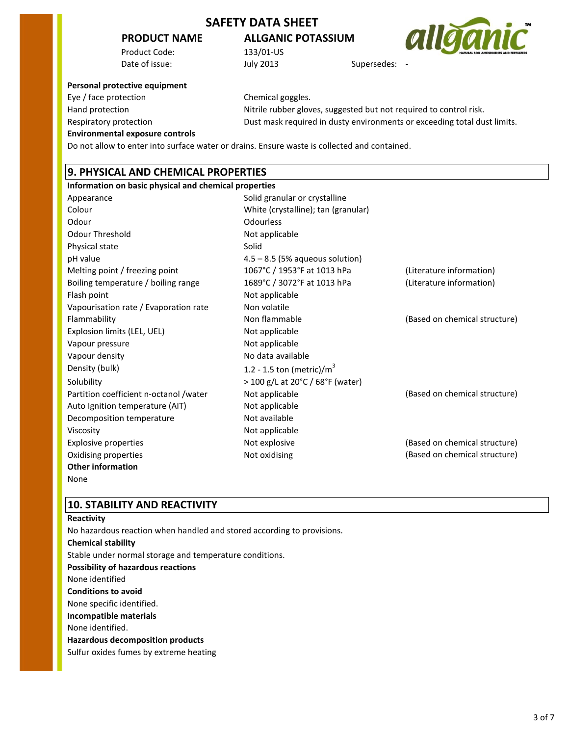## **PRODUCT NAME ALLGANIC POTASSIUM**

Product Code: 133/01-US Date of issue:  $July 2013$  Supersedes:



#### **Personal protective equipment**

Eye / face protection Chemical goggles.

Hand protection **Nitrile rubber gloves, suggested but not required to control risk.** Respiratory protection Dust mask required in dusty environments or exceeding total dust limits.

# **Environmental exposure controls**

Do not allow to enter into surface water or drains. Ensure waste is collected and contained.

## **9. PHYSICAL AND CHEMICAL PROPERTIES**

| Information on basic physical and chemical properties |                                     |                               |
|-------------------------------------------------------|-------------------------------------|-------------------------------|
| Appearance                                            | Solid granular or crystalline       |                               |
| Colour                                                | White (crystalline); tan (granular) |                               |
| Odour                                                 | Odourless                           |                               |
| <b>Odour Threshold</b>                                | Not applicable                      |                               |
| Physical state                                        | Solid                               |                               |
| pH value                                              | $4.5 - 8.5$ (5% aqueous solution)   |                               |
| Melting point / freezing point                        | 1067°C / 1953°F at 1013 hPa         | (Literature information)      |
| Boiling temperature / boiling range                   | 1689°C / 3072°F at 1013 hPa         | (Literature information)      |
| Flash point                                           | Not applicable                      |                               |
| Vapourisation rate / Evaporation rate                 | Non volatile                        |                               |
| Flammability                                          | Non flammable                       | (Based on chemical structure) |
| Explosion limits (LEL, UEL)                           | Not applicable                      |                               |
| Vapour pressure                                       | Not applicable                      |                               |
| Vapour density                                        | No data available                   |                               |
| Density (bulk)                                        | 1.2 - 1.5 ton (metric)/ $m3$        |                               |
| Solubility                                            | > 100 g/L at 20°C / 68°F (water)    |                               |
| Partition coefficient n-octanol /water                | Not applicable                      | (Based on chemical structure) |
| Auto Ignition temperature (AIT)                       | Not applicable                      |                               |
| Decomposition temperature                             | Not available                       |                               |
| Viscosity                                             | Not applicable                      |                               |
| Explosive properties                                  | Not explosive                       | (Based on chemical structure) |
| Oxidising properties                                  | Not oxidising                       | (Based on chemical structure) |
| <b>Other information</b>                              |                                     |                               |

None

## **10. STABILITY AND REACTIVITY**

## **Reactivity** No hazardous reaction when handled and stored according to provisions.

**Chemical stability** Stable under normal storage and temperature conditions. **Possibility of hazardous reactions** None identified **Conditions to avoid** None specific identified. **Incompatible materials** None identified. **Hazardous decomposition products** Sulfur oxides fumes by extreme heating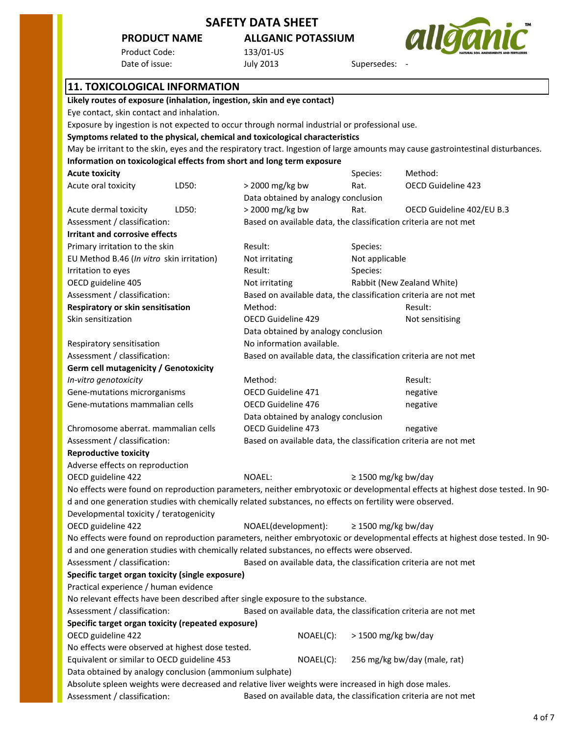## **PRODUCT NAME ALLGANIC POTASSIUM**

Product Code: 133/01-US<br>
Date of issue: 11 Univ 2013 Date of issue: July 2013 Supersedes: -



| υαις νι ιδους.                                                                                                                   | <b>DAILY SUTP</b>                                                | JUNCI SCUCS.                          |                                                                  |  |
|----------------------------------------------------------------------------------------------------------------------------------|------------------------------------------------------------------|---------------------------------------|------------------------------------------------------------------|--|
| <b>11. TOXICOLOGICAL INFORMATION</b>                                                                                             |                                                                  |                                       |                                                                  |  |
| Likely routes of exposure (inhalation, ingestion, skin and eye contact)                                                          |                                                                  |                                       |                                                                  |  |
| Eye contact, skin contact and inhalation.                                                                                        |                                                                  |                                       |                                                                  |  |
| Exposure by ingestion is not expected to occur through normal industrial or professional use.                                    |                                                                  |                                       |                                                                  |  |
| Symptoms related to the physical, chemical and toxicological characteristics                                                     |                                                                  |                                       |                                                                  |  |
| May be irritant to the skin, eyes and the respiratory tract. Ingestion of large amounts may cause gastrointestinal disturbances. |                                                                  |                                       |                                                                  |  |
| Information on toxicological effects from short and long term exposure                                                           |                                                                  |                                       |                                                                  |  |
| <b>Acute toxicity</b>                                                                                                            |                                                                  | Species:                              | Method:                                                          |  |
| Acute oral toxicity<br>LD50:                                                                                                     | > 2000 mg/kg bw                                                  | Rat.                                  | OECD Guideline 423                                               |  |
|                                                                                                                                  | Data obtained by analogy conclusion                              |                                       |                                                                  |  |
| Acute dermal toxicity<br>LD50:                                                                                                   | > 2000 mg/kg bw                                                  | Rat.                                  | OECD Guideline 402/EU B.3                                        |  |
| Assessment / classification:                                                                                                     |                                                                  |                                       | Based on available data, the classification criteria are not met |  |
| <b>Irritant and corrosive effects</b>                                                                                            |                                                                  |                                       |                                                                  |  |
| Primary irritation to the skin                                                                                                   | Result:                                                          | Species:                              |                                                                  |  |
| EU Method B.46 (In vitro skin irritation)                                                                                        | Not irritating                                                   | Not applicable                        |                                                                  |  |
| Irritation to eyes                                                                                                               | Result:                                                          | Species:                              |                                                                  |  |
| OECD guideline 405                                                                                                               | Not irritating                                                   |                                       | Rabbit (New Zealand White)                                       |  |
| Assessment / classification:                                                                                                     |                                                                  |                                       | Based on available data, the classification criteria are not met |  |
| Respiratory or skin sensitisation                                                                                                | Method:                                                          |                                       | Result:                                                          |  |
| Skin sensitization                                                                                                               | <b>OECD Guideline 429</b>                                        |                                       | Not sensitising                                                  |  |
|                                                                                                                                  | Data obtained by analogy conclusion                              |                                       |                                                                  |  |
| Respiratory sensitisation                                                                                                        | No information available.                                        |                                       |                                                                  |  |
| Assessment / classification:                                                                                                     |                                                                  |                                       | Based on available data, the classification criteria are not met |  |
| Germ cell mutagenicity / Genotoxicity                                                                                            |                                                                  |                                       |                                                                  |  |
| In-vitro genotoxicity                                                                                                            | Method:                                                          |                                       | Result:                                                          |  |
| Gene-mutations microrganisms                                                                                                     | OECD Guideline 471                                               |                                       | negative                                                         |  |
| Gene-mutations mammalian cells                                                                                                   | OECD Guideline 476                                               |                                       | negative                                                         |  |
|                                                                                                                                  | Data obtained by analogy conclusion                              |                                       |                                                                  |  |
| Chromosome aberrat. mammalian cells                                                                                              |                                                                  | <b>OECD Guideline 473</b><br>negative |                                                                  |  |
| Assessment / classification:                                                                                                     | Based on available data, the classification criteria are not met |                                       |                                                                  |  |
| <b>Reproductive toxicity</b>                                                                                                     |                                                                  |                                       |                                                                  |  |
| Adverse effects on reproduction                                                                                                  |                                                                  |                                       |                                                                  |  |
| OECD guideline 422                                                                                                               | NOAEL:                                                           | $\geq$ 1500 mg/kg bw/day              |                                                                  |  |
| No effects were found on reproduction parameters, neither embryotoxic or developmental effects at highest dose tested. In 90-    |                                                                  |                                       |                                                                  |  |
| d and one generation studies with chemically related substances, no effects on fertility were observed.                          |                                                                  |                                       |                                                                  |  |
| Developmental toxicity / teratogenicity                                                                                          |                                                                  |                                       |                                                                  |  |
| OECD guideline 422                                                                                                               | NOAEL(development):                                              | $\geq$ 1500 mg/kg bw/day              |                                                                  |  |
| No effects were found on reproduction parameters, neither embryotoxic or developmental effects at highest dose tested. In 90-    |                                                                  |                                       |                                                                  |  |
| d and one generation studies with chemically related substances, no effects were observed.                                       |                                                                  |                                       |                                                                  |  |
| Based on available data, the classification criteria are not met<br>Assessment / classification:                                 |                                                                  |                                       |                                                                  |  |
| Specific target organ toxicity (single exposure)                                                                                 |                                                                  |                                       |                                                                  |  |
| Practical experience / human evidence                                                                                            |                                                                  |                                       |                                                                  |  |
| No relevant effects have been described after single exposure to the substance.                                                  |                                                                  |                                       |                                                                  |  |
| Assessment / classification:                                                                                                     |                                                                  |                                       | Based on available data, the classification criteria are not met |  |
| Specific target organ toxicity (repeated exposure)                                                                               |                                                                  |                                       |                                                                  |  |
| OECD guideline 422                                                                                                               | NOAEL(C):                                                        | > 1500 mg/kg bw/day                   |                                                                  |  |
| No effects were observed at highest dose tested.                                                                                 |                                                                  |                                       |                                                                  |  |
| Equivalent or similar to OECD guideline 453                                                                                      | 256 mg/kg bw/day (male, rat)<br>NOAEL(C):                        |                                       |                                                                  |  |
| Data obtained by analogy conclusion (ammonium sulphate)                                                                          |                                                                  |                                       |                                                                  |  |
| Absolute spleen weights were decreased and relative liver weights were increased in high dose males.                             |                                                                  |                                       |                                                                  |  |

Assessment / classification: Based on available data, the classification criteria are not met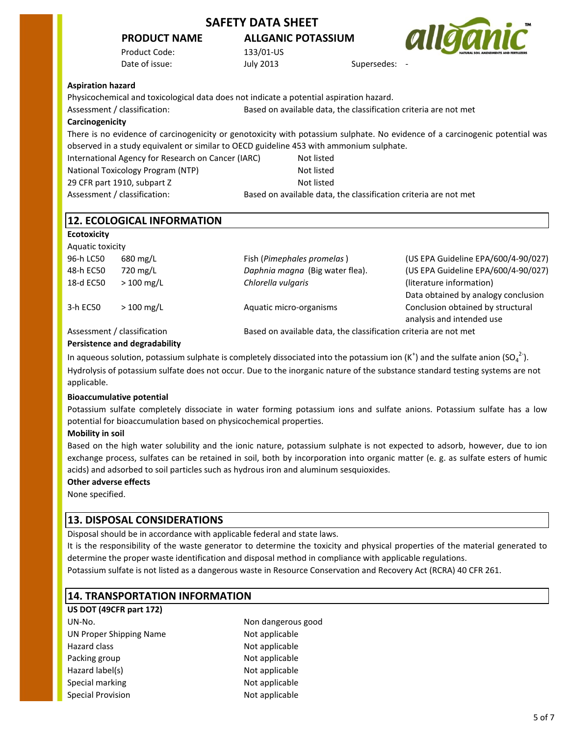## **PRODUCT NAME ALLGANIC POTASSIUM**

Product Code: 133/01-US Date of issue:  $July 2013$  Supersedes:



#### **Aspiration hazard**

Physicochemical and toxicological data does not indicate a potential aspiration hazard.

Assessment / classification: Based on available data, the classification criteria are not met

#### **Carcinogenicity**

International Agency for Research on Cancer (IARC) Not listed There is no evidence of carcinogenicity or genotoxicity with potassium sulphate. No evidence of a carcinogenic potential was observed in a study equivalent or similar to OECD guideline 453 with ammonium sulphate.

National Toxicology Program (NTP) Not listed 29 CFR part 1910, subpart Z Not listed

Assessment / classification: Based on available data, the classification criteria are not met

|  |  |  | <b>12. ECOLOGICAL INFORMATION</b> |  |
|--|--|--|-----------------------------------|--|
|--|--|--|-----------------------------------|--|

## **Ecotoxicity**

| $680 \text{ mg/L}$ |                                                                  | (US EPA Guideline EPA/600/4-90/027)                                                      |
|--------------------|------------------------------------------------------------------|------------------------------------------------------------------------------------------|
| 720 mg/L           |                                                                  | (US EPA Guideline EPA/600/4-90/027)                                                      |
| $>100$ mg/L        | Chlorella vulgaris                                               | (literature information)                                                                 |
|                    |                                                                  | Data obtained by analogy conclusion                                                      |
| $>100$ mg/L        |                                                                  | Conclusion obtained by structural                                                        |
|                    |                                                                  | analysis and intended use                                                                |
|                    | Based on available data, the classification criteria are not met |                                                                                          |
|                    | Aquatic toxicity<br>Assessment / classification                  | Fish (Pimephales promelas)<br>Daphnia magna (Big water flea).<br>Aquatic micro-organisms |

## **Persistence and degradability**

In aqueous solution, potassium sulphate is completely dissociated into the potassium ion (K<sup>+</sup>) and the sulfate anion (SO<sub>4</sub><sup>2-</sup>). Hydrolysis of potassium sulfate does not occur. Due to the inorganic nature of the substance standard testing systems are not applicable.

## **Bioaccumulative potential**

Potassium sulfate completely dissociate in water forming potassium ions and sulfate anions. Potassium sulfate has a low potential for bioaccumulation based on physicochemical properties.

## **Mobility in soil**

Based on the high water solubility and the ionic nature, potassium sulphate is not expected to adsorb, however, due to ion exchange process, sulfates can be retained in soil, both by incorporation into organic matter (e. g. as sulfate esters of humic acids) and adsorbed to soil particles such as hydrous iron and aluminum sesquioxides.

## **Other adverse effects**

None specified.

## **13. DISPOSAL CONSIDERATIONS**

Disposal should be in accordance with applicable federal and state laws.

It is the responsibility of the waste generator to determine the toxicity and physical properties of the material generated to determine the proper waste identification and disposal method in compliance with applicable regulations.

Potassium sulfate is not listed as a dangerous waste in Resource Conservation and Recovery Act (RCRA) 40 CFR 261.

## **14. TRANSPORTATION INFORMATION**

**US DOT (49CFR part 172)** UN-No. Non dangerous good UN Proper Shipping Name Not applicable Hazard class Not applicable Packing group Not applicable Hazard label(s) Not applicable Special marking Not applicable Special Provision Not applicable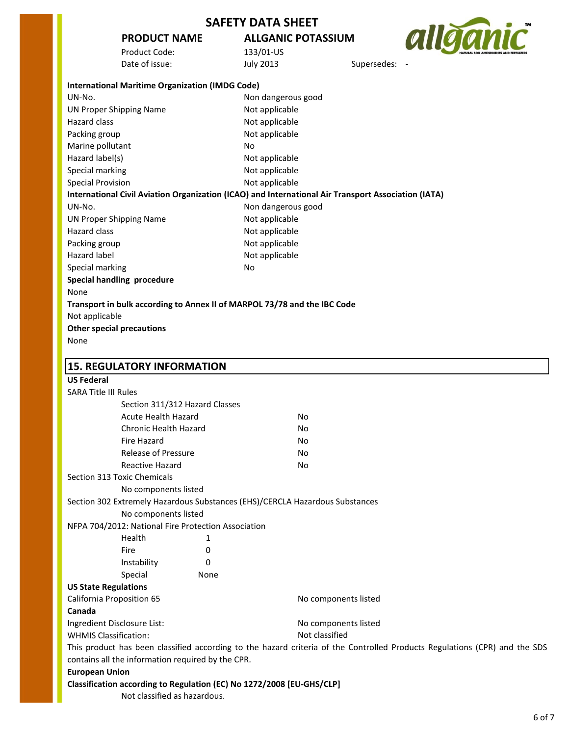# **PRODUCT NAME ALLGANIC POTASSIUM**

allganic Supersedes: -

| Product Code:  |  |
|----------------|--|
| Date of issue: |  |

133/01-US<br>July 2013

| <b>International Maritime Organization (IMDG Code)</b>                       |                                                                                                                            |
|------------------------------------------------------------------------------|----------------------------------------------------------------------------------------------------------------------------|
| UN-No.                                                                       | Non dangerous good                                                                                                         |
| <b>UN Proper Shipping Name</b>                                               | Not applicable                                                                                                             |
| Hazard class                                                                 | Not applicable                                                                                                             |
| Packing group                                                                | Not applicable                                                                                                             |
| Marine pollutant                                                             | No                                                                                                                         |
| Hazard label(s)                                                              | Not applicable                                                                                                             |
| Special marking                                                              | Not applicable                                                                                                             |
| <b>Special Provision</b>                                                     | Not applicable                                                                                                             |
|                                                                              | International Civil Aviation Organization (ICAO) and International Air Transport Association (IATA)                        |
| UN-No.                                                                       | Non dangerous good                                                                                                         |
| <b>UN Proper Shipping Name</b>                                               | Not applicable                                                                                                             |
| Hazard class                                                                 | Not applicable                                                                                                             |
| Packing group                                                                | Not applicable                                                                                                             |
| <b>Hazard label</b>                                                          | Not applicable                                                                                                             |
| Special marking                                                              | No                                                                                                                         |
| <b>Special handling procedure</b>                                            |                                                                                                                            |
| None                                                                         |                                                                                                                            |
| Transport in bulk according to Annex II of MARPOL 73/78 and the IBC Code     |                                                                                                                            |
| Not applicable                                                               |                                                                                                                            |
| <b>Other special precautions</b>                                             |                                                                                                                            |
| None                                                                         |                                                                                                                            |
|                                                                              |                                                                                                                            |
| <b>15. REGULATORY INFORMATION</b>                                            |                                                                                                                            |
| <b>US Federal</b>                                                            |                                                                                                                            |
| <b>SARA Title III Rules</b>                                                  |                                                                                                                            |
| Section 311/312 Hazard Classes                                               |                                                                                                                            |
| <b>Acute Health Hazard</b>                                                   | No                                                                                                                         |
| <b>Chronic Health Hazard</b>                                                 | No.                                                                                                                        |
| <b>Fire Hazard</b>                                                           | No.                                                                                                                        |
| Release of Pressure                                                          | No                                                                                                                         |
| <b>Reactive Hazard</b>                                                       | No                                                                                                                         |
| Section 313 Toxic Chemicals                                                  |                                                                                                                            |
| No components listed                                                         |                                                                                                                            |
| Section 302 Extremely Hazardous Substances (EHS)/CERCLA Hazardous Substances |                                                                                                                            |
| No components listed                                                         |                                                                                                                            |
| NFPA 704/2012: National Fire Protection Association                          |                                                                                                                            |
| Health<br>1                                                                  |                                                                                                                            |
| Fire<br>0                                                                    |                                                                                                                            |
| Instability<br>0                                                             |                                                                                                                            |
| Special<br>None                                                              |                                                                                                                            |
| <b>US State Regulations</b>                                                  |                                                                                                                            |
| <b>California Proposition 65</b>                                             | No components listed                                                                                                       |
| Canada                                                                       |                                                                                                                            |
| Ingredient Disclosure List:                                                  | No components listed                                                                                                       |
| <b>WHMIS Classification:</b>                                                 | Not classified                                                                                                             |
|                                                                              | This product has been classified according to the hazard criteria of the Controlled Products Regulations (CPR) and the SDS |
| contains all the information required by the CPR.                            |                                                                                                                            |
| <b>European Union</b>                                                        |                                                                                                                            |
| Classification according to Regulation (EC) No 1272/2008 [EU-GHS/CLP]        |                                                                                                                            |
| Not classified as hazardous.                                                 |                                                                                                                            |